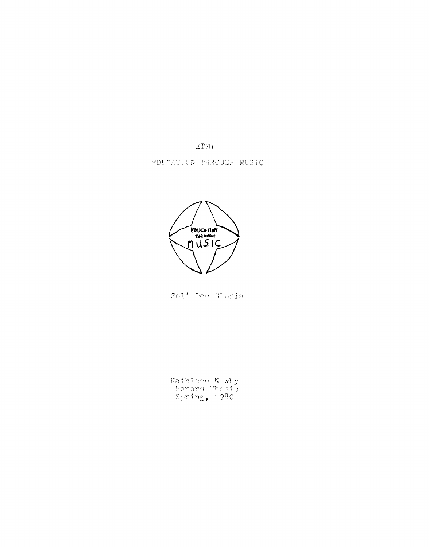$ETM:$ 

EDUCATION THROUGH NUSIC



Soli Deo Gloria

Kathleen Newby<br>Honors Thesis<br>Spring, 1980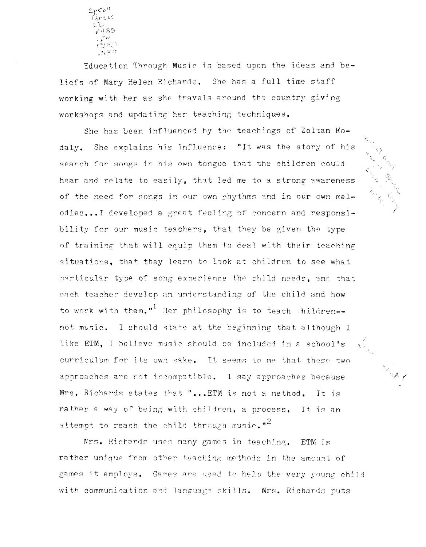Sp<sup>cell</sup><br>These

Education Through Music is based upon the ideas and beliefs of Mary Helen Richards. She has a full time staff working with her as she travels around the country giving workshops and updating her teaching techniques.

She has been influenced by the teachings of Zoltan Kodaly. She explains his influence: "It was the story of his search for songs in his own tongue that the children could hear and relate to easily, that led me to a strong awareness of the need for songs in our own phythms and in our own melodies...I developed a great feeling of concern and responsibility for our music teachers, that they be given the type of training that will equip them to deal with their teaching situations, that they learn to look at children to see what particular type of song experience the child needs, and that each teacher develop an understanding of the child and how to work with them."<sup>1</sup> Her philosophy is to teach children-not music. I should state at the beginning that although I like ETM, I believe music should be included in a school's curriculum for its own sake. It seems to me that these two approaches are not incompatible. I say approaches because Mrs. Richards states that "... ETM is not a method. - It is rather a way of being with children, a process. It is an attempt to reach the child through music."<sup>2</sup>

Mrs. Richards uses many games in teaching. ETM is rather unique from other teaching methods in the amount of games it employs. Games are used to help the very young child with communication and language skills. Mrs. Richards puts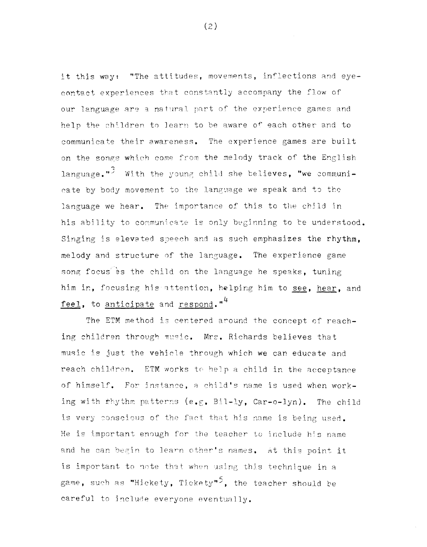it this way: "The attitudes, movements, inflections and eyecontact experiences that constantly accompany the flow of our language are a natural part of the experience games and help the children to learn to be aware of each other and to communicate their awareness. The experience games are built on the songs which come from the melody track of the English language."<sup>3</sup> With the young child she believes, "we communicate by body movement to the language we speak and to the language we hear. The importance of this to the child in his ability to communicate is only beginning to be understood. Singing is elevated speech and as such emphasizes the rhythm, melody and structure of the language. The experience game song focus es the child on the language he speaks, tuning him in, focusing his attention, helping him to see, hear, and feel, to anticipate and respond."<sup>4</sup>

The ETM method is centered around the concept of reaching children through music. Mrs. Richards believes that music is just the vehicle through which we can educate and reach children. ETM works to help a child in the acceptance of himself. For instance, a child's name is used when working with thythm patterns (e.g. Bil-ly, Car-o-lyn). The child is very conscious of the fact that his name is being used. He is important enough for the teacher to include his name and he can begin to learn other's names. At this point it is important to note that when using this technique in a game, such as "Hickety, Tickety"<sup>5</sup>, the teacher should be careful to include everyone eventually.

 $(2)$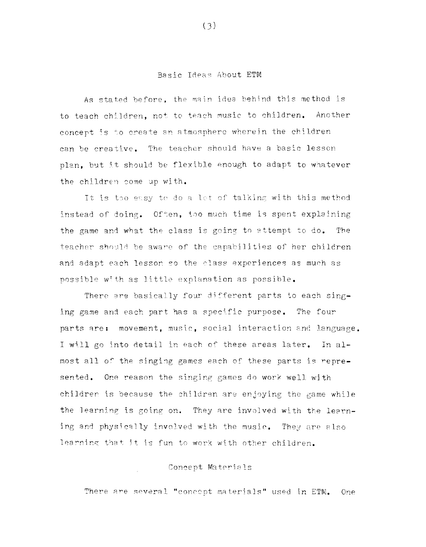### Basic Ideas About ETM

As stated before, the main idea behind this method is to teach children, not to teach music to children. Another concept is to create an atmosphere wherein the children can be creative. The teacher should have a basic lesson plan, but it should be flexible enough to adapt to whatever the children come up with.

It is too easy to do a let of talking with this method instead of doing. Often, too much time is spent explaining the game and what the class is going to attempt to do. The teacher should be aware of the capabilities of her children and adapt each lesson so the class experiences as much as possible with as little explanation as possible.

There are basically four different parts to each singing game and each part has a specific purpose. The four parts are: movement, music, social interaction and language. I will go into detail in each of these areas later. In almost all of the singing games each of these parts is represented. One reason the singing games do work well with children is because the children are enjoying the game while the learning is going on. They are involved with the learning and physically involved with the music. They are also learning that it is fun to work with other children.

# Concept Materials

There are several "concept materials" used in ETM. One

 $(3)$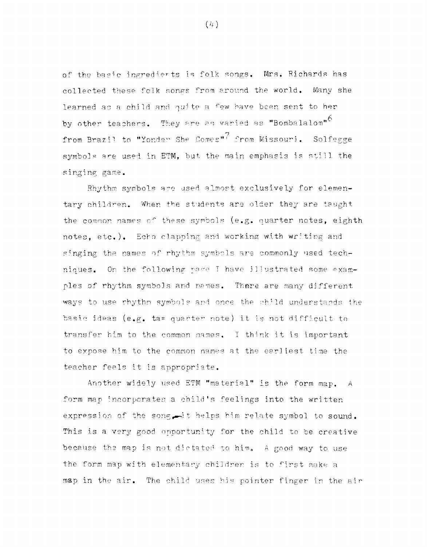of the basic ingredients is folk songs. Mrs. Richards has collected these folk songs from around the world. Many she learned as a child and quite a few have been sent to her by other teachers. They are as varied as "Bombalalom"<sup>6</sup> from Brazil to "Yonder She Comes"<sup>7</sup> from Missouri. Solfegge symbols are used in ETM, but the main emphasis is still the singing game.

Rhythm symbols are used almost exclusively for elementary children. When the students are older they are taught the common names of these symbols (e.g. quarter notes, eighth notes, etc.). Echo clapping and working with writing and singing the names of rhythm symbols are commonly used techniques. On the following page I have illustrated some examples of rhythm symbols and names. There are many different ways to use rhythm symbols and once the child understands the basic ideas (e.g. ta= quarter note) it is not difficult to transfer him to the common names. I think it is important to expose him to the common names at the earliest time the teacher feels it is appropriate.

Another widely used ETM "material" is the form map. A form map incorporates a child's feelings into the written expression of the song. it helps him relate symbol to sound. This is a very good opportunity for the child to be creative because the map is not dictated to him. A good way to use the form map with elementary children is to first make a map in the air. The child uses his pointer finger in the air

 $(4)$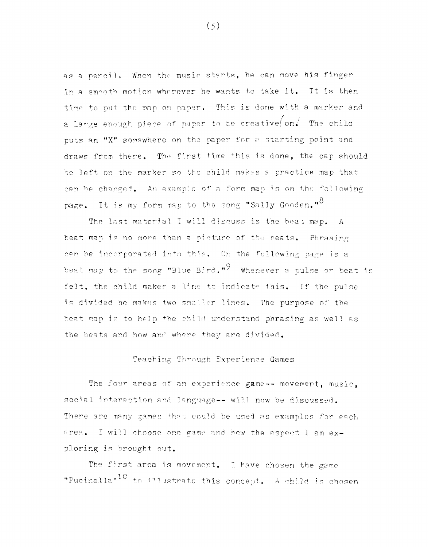as a pencil. When the music starts, he can move his finger in a smooth motion wherever he wants to take it. It is then time to put the map on paper. This is done with a marker and a large enough piece of paper to be creative on. The child puts an "X" somewhere on the paper for a starting point and draws from there. The first time this is done, the cap should be left on the marker so the child makes a practice map that can be changed. An example of a form map is on the following page. It is my form map to the song "Sally Gooden."<sup>8</sup>

The last material I will discuss is the beat map. A beat map is no more than a picture of the beats. Phrasing can be incorporated into this. On the following page is a beat map to the song "Blue Bird."<sup>9</sup> Whenever a pulse or beat is felt, the child makes a line to indicate this. If the pulse is divided he makes two smaller lines. The purpose of the beat map is to help the child understand phrasing as well as the beats and how and where they are divided.

# Teaching Through Experience Games

The four areas of an experience game -- movement, music, social interaction and language -- will now be discussed. There are many games that could be used as examples for each area. I will choose one game and how the aspect I am exploring is brought out.

The first area is movement. I have chosen the game "Pucinella"<sup>10</sup> to illustrate this concept. A child is chosen

 $(5)$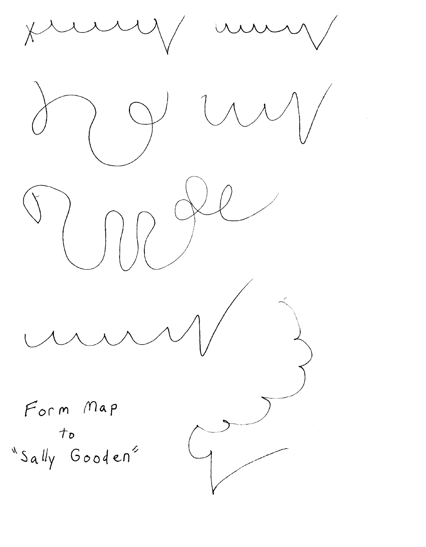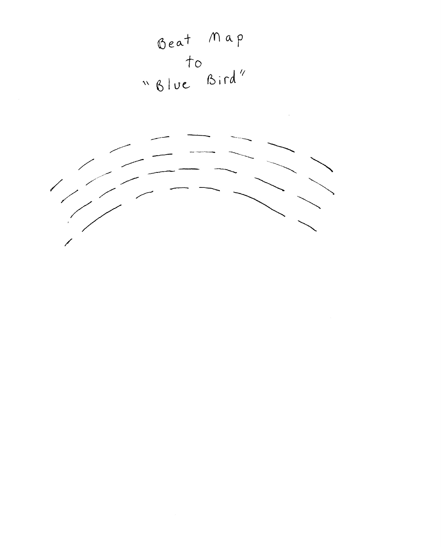

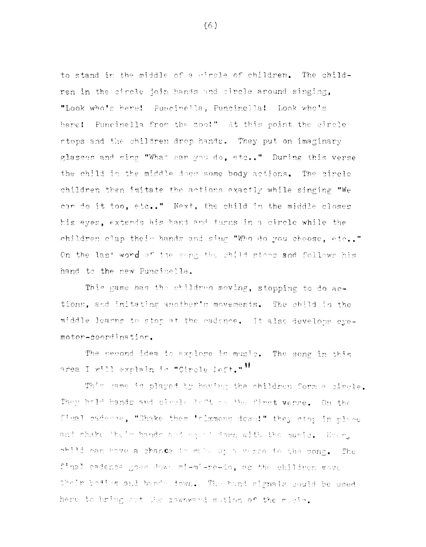to stand in the middle of a circle of children. The children in the circle join hands and circle around singing, "Look who's here! Puncinella, Puncinella! Look who's here! Puncinella from the zoo!" At this point the circle stops and the children drop hands. They put on imaginary glasses and sing "What can you do, etc.." During this verse the child in the middle does some body actions. The circle children then imitate the actions exactly while singing "We can do it too, etc.." Next, the child in the middle closes his eyes, extends his hand and turns in a circle while the children clap their hands and sing "Who do you choose, etc.." On the last word of the song the child steps and follows his hand to the new Puncinella.

This game has the children moving, stopping to do actions, and imitating another's movements. The child in the middle learns to stop at the cadence. It also develops eyemotor-coordination.

The second idea to explore is music. The song in this area I will explain is "Circle Left." "

This game is played by having the children form a circle. They hold hands and circle lift on the first verse. On the final cadedne, "Shake them 'simmons down!" they stop in place and shake 'heir hands and equat down with the music. Every child can hove a chance to make ap a verse to the song. The final cadence goes down mi-mi-re-do, as the children move their bodies and hands down. The hand signals could be used here to bring out the downward mution of the music.

 $(6)$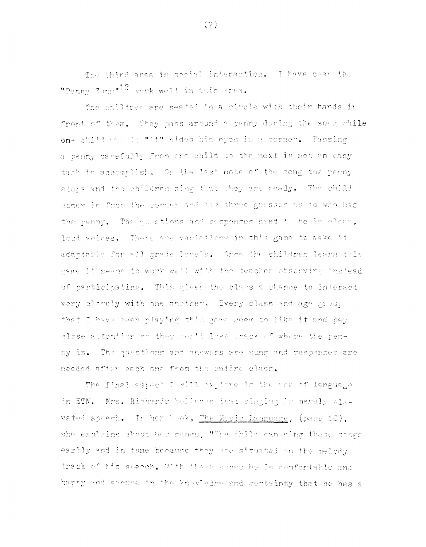The ibird area is social interaction. I have seen the "Penny Song"<sup>12</sup> work well in this srea.

The children are seated in a circle with their hands in front of them. They pass around a penny during the some while one child who is "it" hides his eyes in a corner. Passing a penny carefully from one child to the next is not an easy task to accomplish. On the last note of the song the permy stors and the children sing that they are ready. The child comes in from the corper and has three guesses as to who has the penny. The ourstions and mesponses need to be in clear, loud veices. There are variations in this game to make it. adaptable for all grade levels. Once the children learn this game it seems to work well with the teacher observing instead of participating. This mives the class a chance to interact very closely with one another. Every class and age group that I have seen playing this game seem to like it and pay close attention on they don't lose track of where the penny is. The questions and answers are sung and responses are needed after each one from the entire class.

The final aspect I will explore in the use of language in ETM. Mrs. Richards believes that singing is merely alavated speech. In her book, The Music Language, (page 10), she explains about her songs. "The child can eing these songs easily and in tune because they are situated on the melody track of his speech. With these songs he is comfortable and happy and secure in the knowledge and certainty that he has a

 $(7)$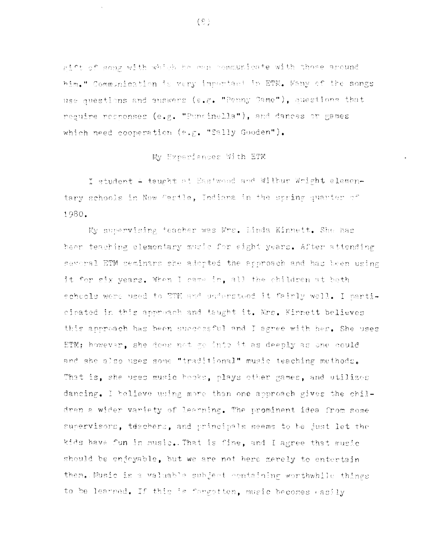gift of some with which he can communicate with those around him." Communication is very important in ETN. Wany of the songs use questions and answers (e.g. "Penny Game"), questions that require rechonses (e.g. "Puncinalla"), and dances or games which need cooperation (e.g. "Sally Gooden").

## My Experiences With ETM

I student + taught at Eastwood and Wilbur Wright elementary schools in New Castle, Indiana in the spring quarter of 1980.

My supervising teacher was Mrs. Linda Kinnett. She has been teaching elementary music for eight years. After attending several ETM seminars she adopted the approach and has been using it for six years. When I came in, all the children at both schools were used to ETM and understood it fairly well. I narticinated in this approach and taught it. Mrs. Kinnett believes this approach has been successful and I agree with her. She uses ETM; however, she does not go into it as deeply as one could and she also uses some "traditional" music teaching methods. That is, she uses music beoks, plays other games, and utilizes dancing. I believe using more than one approach gives the children a wider variety of learning. The prominent idea from some supervisors, teachers, and principals seems to be just let the kids have fun in music. That is fine, and I agree that music should be enjoyable, but we are not here merely to entertain them. Music is a valuable subject containing worthwhile things to be learned. If this is forgotten, music becomes easily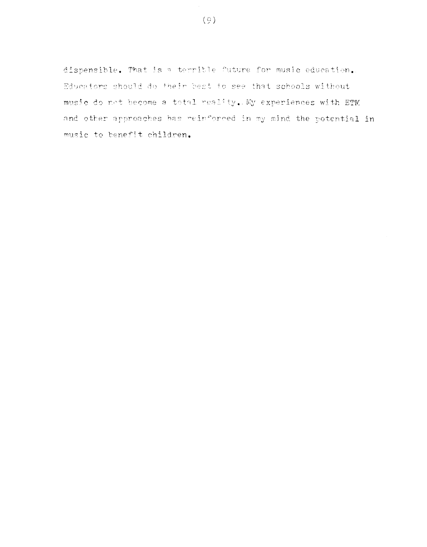dispensible. That is a terrible future for music education. Educators should do their best to see that schools without music do not become a total reality. My experiences with ETM and other approaches has reinforced in my mind the potential in music to benefit children.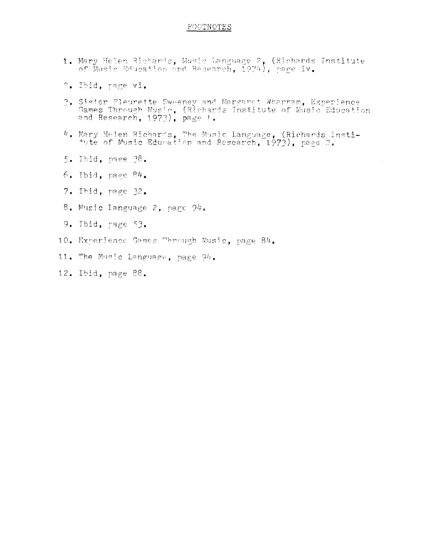### FOOTNOTES

- 1. Mary Helen Richards, Music Language 2, (Richards Institute<br>of Music Education and Research, 1974), page iv.
- 2. Ibid, nage vi.
- 3. Sister Fleurette Sweeney and Margaret Wharram, Experience Games Through Music, (Richards Institute of Music Education and Research, 1973), page 1.
- 4. Mary Helen Richards, The Music Language, (Richards Insti-<br>tute of Music Education and Research, 1973), page 2.
- 5. Ibid. page 38.
- $6.$  Ibid. page  $84.$
- 7. Ibid, page 32.
- 8. Music Language 2, page 94.
- 9. Ibid, page 53.
- 10. Experience Games Through Music, page 84.
- 11. The Music Language, page 94.
- 12. Ibid, page 88.